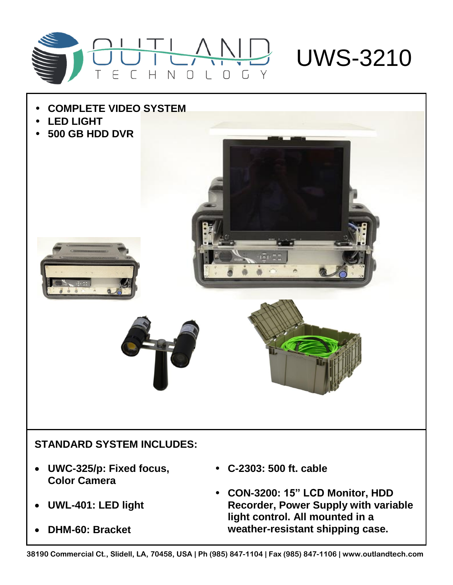



• **CON-3200: 15" LCD Monitor, HDD Recorder, Power Supply with variable light control. All mounted in a weather-resistant shipping case.**

**UWL-401: LED light**

**DHM-60: Bracket**